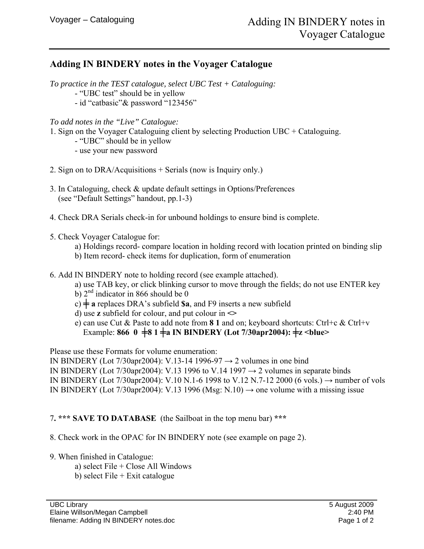## **Adding IN BINDERY notes in the Voyager Catalogue**

*To practice in the TEST catalogue, select UBC Test + Cataloguing:* 

- "UBC test" should be in yellow
- id "catbasic"& password "123456"

*To add notes in the "Live" Catalogue:* 

- 1. Sign on the Voyager Cataloguing client by selecting Production UBC + Cataloguing.
	- "UBC" should be in yellow
	- use your new password
- 2. Sign on to DRA/Acquisitions + Serials (now is Inquiry only.)
- 3. In Cataloguing, check & update default settings in Options/Preferences (see "Default Settings" handout, pp.1-3)
- 4. Check DRA Serials check-in for unbound holdings to ensure bind is complete.
- 5. Check Voyager Catalogue for:
	- a) Holdings record- compare location in holding record with location printed on binding slip
	- b) Item record- check items for duplication, form of enumeration
- 6. Add IN BINDERY note to holding record (see example attached).
	- a) use TAB key, or click blinking cursor to move through the fields; do not use ENTER key
	- b)  $2<sup>nd</sup>$  indicator in 866 should be 0
	- $c$ )  $\neq$  **a** replaces DRA's subfield **\$a**, and F9 inserts a new subfield
	- d) use **z** subfield for colour, and put colour in **<>**
	- e) can use Cut & Paste to add note from **8 1** and on; keyboard shortcuts: Ctrl+c & Ctrl+v Example: **866**  $0 \neq 81 \neq a$  IN BINDERY (Lot 7/30apr2004):  $\neq z$  <br/>blue>

Please use these Formats for volume enumeration:

IN BINDERY (Lot 7/30apr2004): V.13-14 1996-97  $\rightarrow$  2 volumes in one bind IN BINDERY (Lot 7/30apr2004): V.13 1996 to V.14 1997  $\rightarrow$  2 volumes in separate binds IN BINDERY (Lot 7/30apr2004): V.10 N.1-6 1998 to V.12 N.7-12 2000 (6 vols.) → number of vols IN BINDERY (Lot 7/30apr2004): V.13 1996 (Msg: N.10)  $\rightarrow$  one volume with a missing issue

## 7**. \*\*\* SAVE TO DATABASE** (the Sailboat in the top menu bar) **\*\*\***

8. Check work in the OPAC for IN BINDERY note (see example on page 2).

- 9. When finished in Catalogue:
	- a) select File + Close All Windows
	- b) select File + Exit catalogue